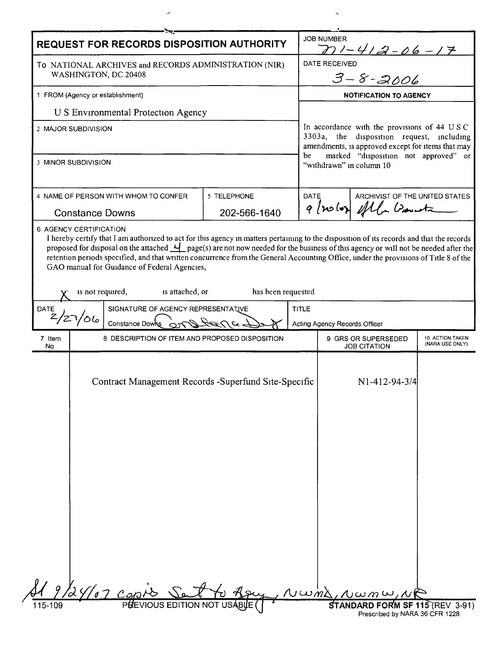| REQUEST FOR RECORDS DISPOSITION AUTHORITY                                                                                                                                                                                                                                                                                                                                                                                                                                                                     | <b>JOB NUMBER</b><br>$271 - 412 - 06 - 17$                                                                                                    |
|---------------------------------------------------------------------------------------------------------------------------------------------------------------------------------------------------------------------------------------------------------------------------------------------------------------------------------------------------------------------------------------------------------------------------------------------------------------------------------------------------------------|-----------------------------------------------------------------------------------------------------------------------------------------------|
| To NATIONAL ARCHIVES and RECORDS ADMINISTRATION (NIR)<br>WASHINGTON, DC 20408                                                                                                                                                                                                                                                                                                                                                                                                                                 | DATE RECEIVED<br>$3 - 8 - 2006$                                                                                                               |
| 1 FROM (Agency or establishment)                                                                                                                                                                                                                                                                                                                                                                                                                                                                              | <b>NOTIFICATION TO AGENCY</b>                                                                                                                 |
| U S Environmental Protection Agency                                                                                                                                                                                                                                                                                                                                                                                                                                                                           |                                                                                                                                               |
| 2 MAJOR SUBDIVISION                                                                                                                                                                                                                                                                                                                                                                                                                                                                                           | In accordance with the provisions of 44 USC<br>3303a, the disposition request, including<br>amendments, is approved except for items that may |
| 3 MINOR SUBDIVISION                                                                                                                                                                                                                                                                                                                                                                                                                                                                                           | marked "disposition not approved" or<br>be<br>"withdrawn" in column 10                                                                        |
| 4 NAME OF PERSON WITH WHOM TO CONFER<br>5 TELEPHONE<br>202-566-1640<br><b>Constance Downs</b>                                                                                                                                                                                                                                                                                                                                                                                                                 | <b>DATE</b><br>ARCHIVIST OF THE UNITED STATES<br>9 (nolos) eftle Donnetz                                                                      |
| 6 AGENCY CERTIFICATION<br>I hereby certify that I am authorized to act for this agency in matters pertaining to the disposition of its records and that the records<br>proposed for disposal on the attached $\frac{1}{2}$ page(s) are not now needed for the business of this agency or will not be needed after the<br>retention periods specified, and that written concurrence from the General Accounting Office, under the provisions of Title 8 of the<br>GAO manual for Guidance of Federal Agencies, |                                                                                                                                               |
| is not required,<br>is attached, or<br>has been requested                                                                                                                                                                                                                                                                                                                                                                                                                                                     |                                                                                                                                               |
| SIGNATURE OF AGENCY REPRESENTATIVE<br><b>DATE</b><br>$\mathbf{z}$<br>Constance Downs 0ml tan                                                                                                                                                                                                                                                                                                                                                                                                                  | <b>TITLE</b><br>Acting Agency Records Officer                                                                                                 |
| 7 Item<br>8 DESCRIPTION OF ITEM AND PROPOSED DISPOSITION<br>No                                                                                                                                                                                                                                                                                                                                                                                                                                                | 9 GRS OR SUPERSEDED<br>10 ACTION TAKEN<br>(NARA USE ONLY)<br><b>JOB CITATION</b>                                                              |
| Contract Management Records -Superfund Site-Specific                                                                                                                                                                                                                                                                                                                                                                                                                                                          | N1-412-94-3/4                                                                                                                                 |
|                                                                                                                                                                                                                                                                                                                                                                                                                                                                                                               |                                                                                                                                               |
|                                                                                                                                                                                                                                                                                                                                                                                                                                                                                                               |                                                                                                                                               |
|                                                                                                                                                                                                                                                                                                                                                                                                                                                                                                               | $\Lambda$ wind, $\Lambda$ w $m$ w, $\Lambda$                                                                                                  |
| <b>PREVIOUS EDITION NOT</b><br>115-109                                                                                                                                                                                                                                                                                                                                                                                                                                                                        | <b>STANDARD FORM SF 115 (REV 3-91)</b><br>Prescribed by NARA 36 CFR 1228                                                                      |

 $\overline{\phantom{a}}$ 

 $\hat{\mathcal{S}}$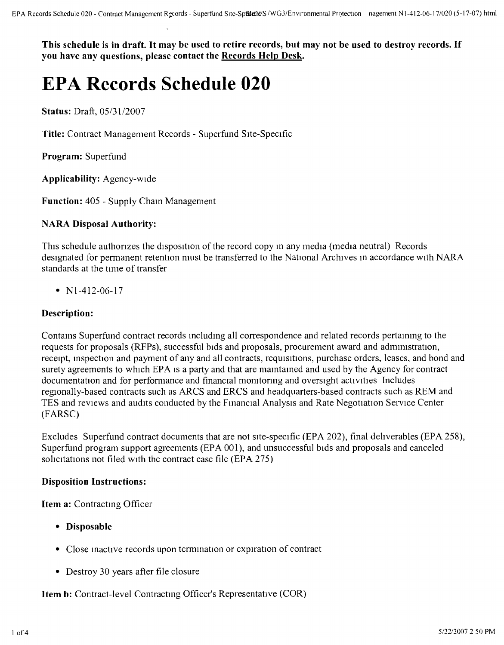This schedule is in draft. It may be used to retire records, but may not be used to destroy records. If **you have any questions, please contact the Records Help Desk.**

# **EPA Records Schedule 020**

**Status:** Draft, *05/3112007*

**Title:** Contract Management Records - Superfund Site-Specific

**Program:** Superfund

**Applicability:** Agency-wide

**Function:** 405 - Supply Chain Managemen

## **NARA Disposal Authority:**

This schedule authorizes the disposition of the record copy in any media (media neutral) Records designated for permanent retention must be transferred to the National Archives in accordance with NARA standards at the time of transfer

•  $N1-412-06-17$ 

## **Description:**

Contams Superfund contract records mcludmg all correspondence and related records pertammg to the requests for proposals (RFPs), successful bids and proposals, procurement award and adrmmstranon, receipt, inspection and payment of any and all contracts, requisinons, purchase orders, leases, and bond and surety agreements to which EPA is a party and that are maintained and used by the Agency for contract documentation and for performance and financial monitoring and oversight activities Includes regionally-based contracts such as ARCS and ERCS and headquarters-based contracts such as REM and TES and reviews and audits conducted by the Fmancial AnalYSIS and Rate Negonation Service Center (FARSC)

Excludes Superfund contract documents that are not site-specific (EPA 202), final dehverables (EPA 258), Superfund program support agreements (EPA 001), and unsuccessful bids and proposals and canceled solicitations not filed with the contract case file (EPA 275)

#### **Disposition Instructions:**

**Item a:** Contracting Officer

- **• Disposable**
- Close inactive records upon termination or expiration of contract
- Destroy 30 years after tile closure

**Item b:** Contract-level Contractmg Officer's Representative (COR)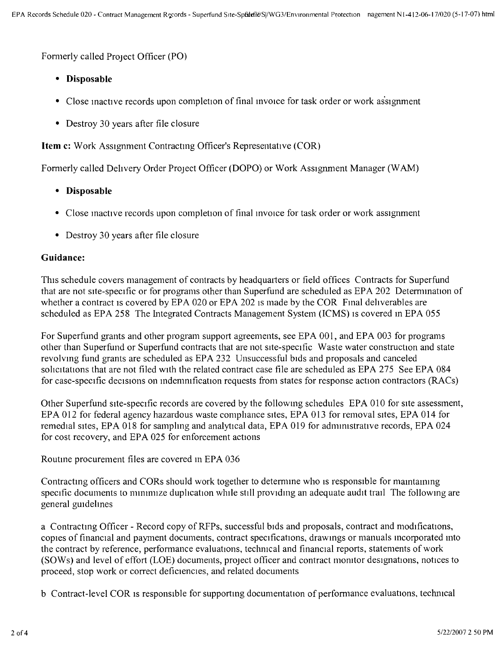Formerly called Project Officer (PO)

- **• Disposable**
- Close inactive records upon completion of final invoice for task order or work assignment
- Destroy 30 years after file closure

**Item** c: Work Assignment Contractmg Officer's Representative (COR)

Formerly called Delivery Order Project Officer (DOPO) or Work Assignment Manager (WAM)

- **• Disposable**
- Close mactive records upon completion of final invoice for task order or work assignment
- Destroy 30 years after file closure

#### **Guidance:**

This schedule covers management of contracts by headquarters or field offices Contracts for Superfund that are not site-specific or for programs other than Superfund are scheduled as EPA 202 Determmation of whether a contract is covered by EPA 020 or EPA 202 is made by the COR Final deliverables are scheduled as EPA 258 The Integrated Contracts Management System (ICMS) is covered in EPA 055

For Superfund grants and other program support agreements, see EPA 001, and EPA 003 for programs other than Superfund or Superfund contracts that are not site-specific Waste water construction and state revolving fund grants are scheduled as EPA 232 Unsuccessful bids and proposals and canceled solicitations that are not filed with the related contract case file are scheduled as EPA 275 See EPA 084 for case-specific decisions on mdemrufication requests from states for response action contractors (RACs)

Other Superfund site-specific records are covered by the following schedules EPA 010 for site assessment, EPA 012 for federal agency hazardous waste compliance sites, EPA 013 for removal sites, EPA 014 for remedial sites, EPA 018 for sampling and analytical data, EPA 019 for administrative records, EPA 024 for cost recovery, and EPA 025 for enforcement actions

Routine procurement files are covered in EPA 036

Contracting officers and CORs should work together to determine who is responsible for maintaining specific documents to minimize duplication while still providing an adequate audit trail The following are general guidelines

a Contracting Officer - Record copy of RFPs, successful bids and proposals, contract and modifications, copies of financial and payment documents, contract specifications, drawings or manuals incorporated into the contract by reference, performance evaluations, techrncal and financial reports, statements of work (SOWs) and level of effort (LOE) documents, project officer and contract morntor designations, notices to proceed, stop work or correct deficiencies, and related documents

b Contract-level COR IS responsible for supporting documentation of performance evaluations, techmcal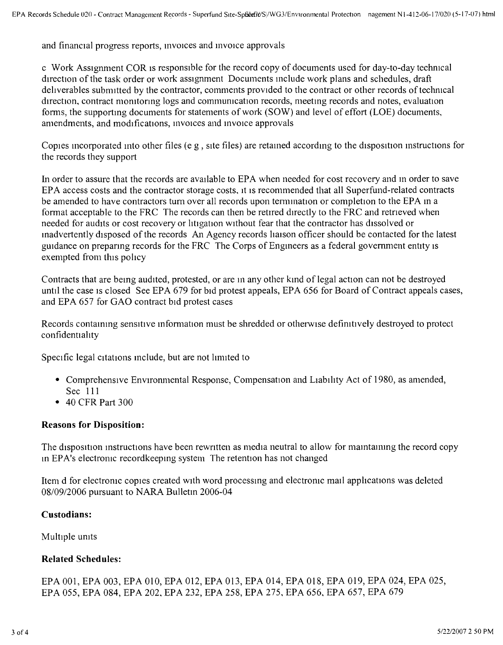and financial progress reports, invoices and invoice approvals

c Work Assignment COR IS responsible for the record copy of documents used for day-to-day technical direction of the task order or work assignment Documents mclude work plans and schedules, draft deliverables submitted by the contractor, comments provided to the contract or other records of technical direction, contract monitoring logs and communication records, meeting records and notes, evaluation forms, the supportmg documents for statements of work (SOW) and level of effort (LOE) documents, amendments, and modifications, invoices and invoice approvals

Copies mcorporated mto other files (e g, site files) are retamed accordmg to the disposinon mstructions for the records they support

In order to assure that the records are available to EPA when needed for cost recovery and in order to save EPA access costs and the contractor storage costs, it is recommended that all Superfund-related contracts be amended to have contractors tum over all records upon termmation or completion to the EPA m a format acceptable to the FRC The records can then be retired directly to the FRC and retneved when needed for audits or cost recovery or litigation without fear that the contractor has dissolved or inadvertently disposed of the records An Agency records liaison officer should be contacted for the latest guidance on prepanng records for the FRC The Corps of Engineers as a federal government entity IS exempted from this policy

Contracts that are bemg audited, protested, or are m any other kind of legal action can not be destroyed until the case is closed See EPA 679 for bid protest appeals, EPA 656 for Board of Contract appeals cases, and EPA 657 for GAO contract bid protest cases

Records contauung sensitrve information must be shredded or otherwise defirntrvely destroyed to protect confidentiality

Specific legal citations include, but are not limited to

- Comprehensive Environmental Response, Compensation and Liability Act of 1980, as amended, Sec 111
- 40 CFR Part 300

#### **Reasons for Disposition:**

The disposition mstructions have been rewntten as media neutral to allow for mamtanung the record copy m EPA's electronic recordkeepmg system The retention has not changed

Item d for electronic copies created With word processmg and electronic mail applications was deleted *08109/2006* pursuant to NARA Bulletm 2006-04

#### **Custodians:**

Multiple units

#### **Related Schedules:**

EPA 001, EPA 003, EPA 010, EPA 012, EPA 013, EPA 014, EPA 018, EPA 019, EPA 024, EPA 025, EPA 055, EPA 084, EPA 202, EPA 232, EPA 258, EPA 275, EPA 656, EPA 657, EPA 679